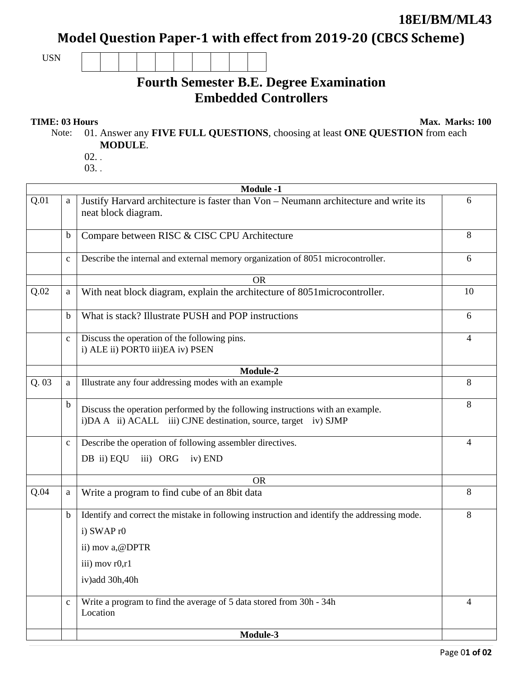## **18EI/BM/ML43**

Model Question Paper-1 with effect from 2019-20 (CBCS Scheme)

USN

## **Fourth Semester B.E. Degree Examination Embedded Controllers**

**TIME: 03 Hours** Max. Marks: 100

Note: 01. Answer any **FIVE FULL QUESTIONS**, choosing at least **ONE QUESTION** from each **MODULE**.

- 02. .
- 03. .

|      | <b>Module -1</b> |                                                                                                                                                   |                |  |  |
|------|------------------|---------------------------------------------------------------------------------------------------------------------------------------------------|----------------|--|--|
| Q.01 | a                | Justify Harvard architecture is faster than Von - Neumann architecture and write its<br>neat block diagram.                                       | 6              |  |  |
|      | $\mathbf b$      | Compare between RISC & CISC CPU Architecture                                                                                                      | 8              |  |  |
|      | $\mathbf{c}$     | Describe the internal and external memory organization of 8051 microcontroller.                                                                   | 6              |  |  |
|      |                  | <b>OR</b>                                                                                                                                         |                |  |  |
| Q.02 | a                | With neat block diagram, explain the architecture of 8051 microcontroller.                                                                        | 10             |  |  |
|      | b                | What is stack? Illustrate PUSH and POP instructions                                                                                               | 6              |  |  |
|      | $\mathbf c$      | Discuss the operation of the following pins.<br>i) ALE ii) PORT0 iii)EA iv) PSEN                                                                  | 4              |  |  |
|      |                  | Module-2                                                                                                                                          |                |  |  |
| Q.03 | a                | Illustrate any four addressing modes with an example                                                                                              | 8              |  |  |
|      | $\mathbf b$      | Discuss the operation performed by the following instructions with an example.<br>i)DA A ii) ACALL iii) CJNE destination, source, target iv) SJMP | 8              |  |  |
|      | $\mathbf{c}$     | Describe the operation of following assembler directives.                                                                                         | 4              |  |  |
|      |                  | DB ii) EQU<br>iii) ORG iv) END                                                                                                                    |                |  |  |
|      |                  | <b>OR</b>                                                                                                                                         |                |  |  |
| Q.04 | a                | Write a program to find cube of an 8bit data                                                                                                      | 8              |  |  |
|      | $\mathbf b$      | Identify and correct the mistake in following instruction and identify the addressing mode.                                                       | 8              |  |  |
|      |                  | i) SWAP r0                                                                                                                                        |                |  |  |
|      |                  | ii) mov a, @DPTR                                                                                                                                  |                |  |  |
|      |                  | iii) mov r0,r1                                                                                                                                    |                |  |  |
|      |                  | iv)add 30h,40h                                                                                                                                    |                |  |  |
|      | $\mathbf c$      | Write a program to find the average of 5 data stored from 30h - 34h<br>Location                                                                   | $\overline{4}$ |  |  |
|      |                  | $Module-3$                                                                                                                                        |                |  |  |
|      |                  |                                                                                                                                                   |                |  |  |